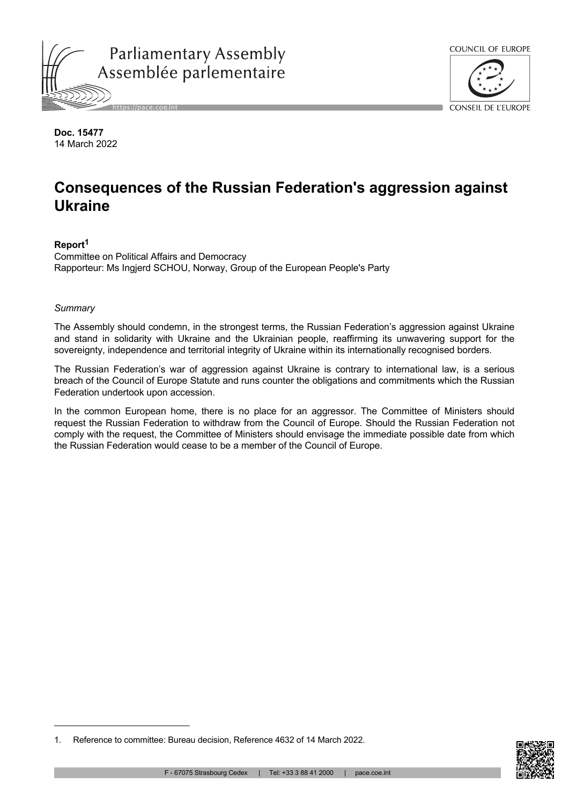



**Doc. 15477** 14 March 2022

# **Consequences of the Russian Federation's aggression against Ukraine**

# **Report<sup>1</sup>**

Committee on Political Affairs and Democracy Rapporteur: Ms Ingjerd SCHOU, Norway, Group of the European People's Party

## *Summary*

The Assembly should condemn, in the strongest terms, the Russian Federation's aggression against Ukraine and stand in solidarity with Ukraine and the Ukrainian people, reaffirming its unwavering support for the sovereignty, independence and territorial integrity of Ukraine within its internationally recognised borders.

The Russian Federation's war of aggression against Ukraine is contrary to international law, is a serious breach of the Council of Europe Statute and runs counter the obligations and commitments which the Russian Federation undertook upon accession.

In the common European home, there is no place for an aggressor. The Committee of Ministers should request the Russian Federation to withdraw from the Council of Europe. Should the Russian Federation not comply with the request, the Committee of Ministers should envisage the immediate possible date from which the Russian Federation would cease to be a member of the Council of Europe.



<sup>1.</sup> Reference to committee: Bureau decision, Reference 4632 of 14 March 2022.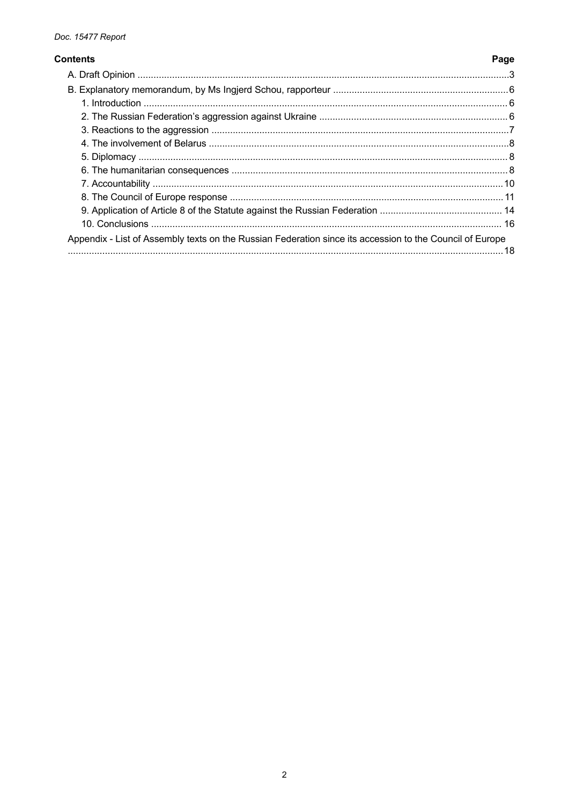#### **Contents**

# Appendix - List of Assembly texts on the Russian Federation since its accession to the Council of Europe

Page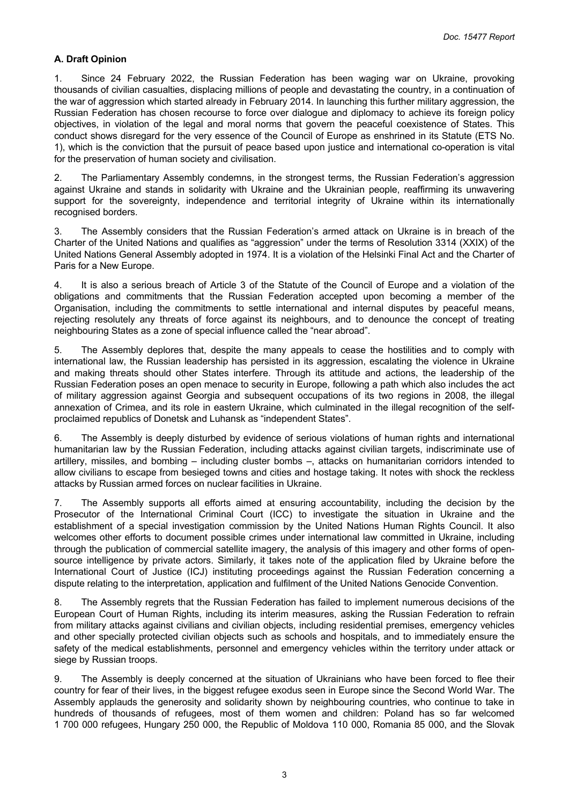# <span id="page-2-0"></span>**A. Draft Opinion**

1. Since 24 February 2022, the Russian Federation has been waging war on Ukraine, provoking thousands of civilian casualties, displacing millions of people and devastating the country, in a continuation of the war of aggression which started already in February 2014. In launching this further military aggression, the Russian Federation has chosen recourse to force over dialogue and diplomacy to achieve its foreign policy objectives, in violation of the legal and moral norms that govern the peaceful coexistence of States. This conduct shows disregard for the very essence of the Council of Europe as enshrined in its Statute (ETS No. 1), which is the conviction that the pursuit of peace based upon justice and international co-operation is vital for the preservation of human society and civilisation.

2. The Parliamentary Assembly condemns, in the strongest terms, the Russian Federation's aggression against Ukraine and stands in solidarity with Ukraine and the Ukrainian people, reaffirming its unwavering support for the sovereignty, independence and territorial integrity of Ukraine within its internationally recognised borders.

3. The Assembly considers that the Russian Federation's armed attack on Ukraine is in breach of the Charter of the United Nations and qualifies as "aggression" under the terms of Resolution 3314 (XXIX) of the United Nations General Assembly adopted in 1974. It is a violation of the Helsinki Final Act and the Charter of Paris for a New Europe.

4. It is also a serious breach of Article 3 of the Statute of the Council of Europe and a violation of the obligations and commitments that the Russian Federation accepted upon becoming a member of the Organisation, including the commitments to settle international and internal disputes by peaceful means, rejecting resolutely any threats of force against its neighbours, and to denounce the concept of treating neighbouring States as a zone of special influence called the "near abroad".

5. The Assembly deplores that, despite the many appeals to cease the hostilities and to comply with international law, the Russian leadership has persisted in its aggression, escalating the violence in Ukraine and making threats should other States interfere. Through its attitude and actions, the leadership of the Russian Federation poses an open menace to security in Europe, following a path which also includes the act of military aggression against Georgia and subsequent occupations of its two regions in 2008, the illegal annexation of Crimea, and its role in eastern Ukraine, which culminated in the illegal recognition of the selfproclaimed republics of Donetsk and Luhansk as "independent States".

6. The Assembly is deeply disturbed by evidence of serious violations of human rights and international humanitarian law by the Russian Federation, including attacks against civilian targets, indiscriminate use of artillery, missiles, and bombing – including cluster bombs –, attacks on humanitarian corridors intended to allow civilians to escape from besieged towns and cities and hostage taking. It notes with shock the reckless attacks by Russian armed forces on nuclear facilities in Ukraine.

7. The Assembly supports all efforts aimed at ensuring accountability, including the decision by the Prosecutor of the International Criminal Court (ICC) to investigate the situation in Ukraine and the establishment of a special investigation commission by the United Nations Human Rights Council. It also welcomes other efforts to document possible crimes under international law committed in Ukraine, including through the publication of commercial satellite imagery, the analysis of this imagery and other forms of opensource intelligence by private actors. Similarly, it takes note of the application filed by Ukraine before the International Court of Justice (ICJ) instituting proceedings against the Russian Federation concerning a dispute relating to the interpretation, application and fulfilment of the United Nations Genocide Convention.

8. The Assembly regrets that the Russian Federation has failed to implement numerous decisions of the European Court of Human Rights, including its interim measures, asking the Russian Federation to refrain from military attacks against civilians and civilian objects, including residential premises, emergency vehicles and other specially protected civilian objects such as schools and hospitals, and to immediately ensure the safety of the medical establishments, personnel and emergency vehicles within the territory under attack or siege by Russian troops.

The Assembly is deeply concerned at the situation of Ukrainians who have been forced to flee their country for fear of their lives, in the biggest refugee exodus seen in Europe since the Second World War. The Assembly applauds the generosity and solidarity shown by neighbouring countries, who continue to take in hundreds of thousands of refugees, most of them women and children: Poland has so far welcomed 1 700 000 refugees, Hungary 250 000, the Republic of Moldova 110 000, Romania 85 000, and the Slovak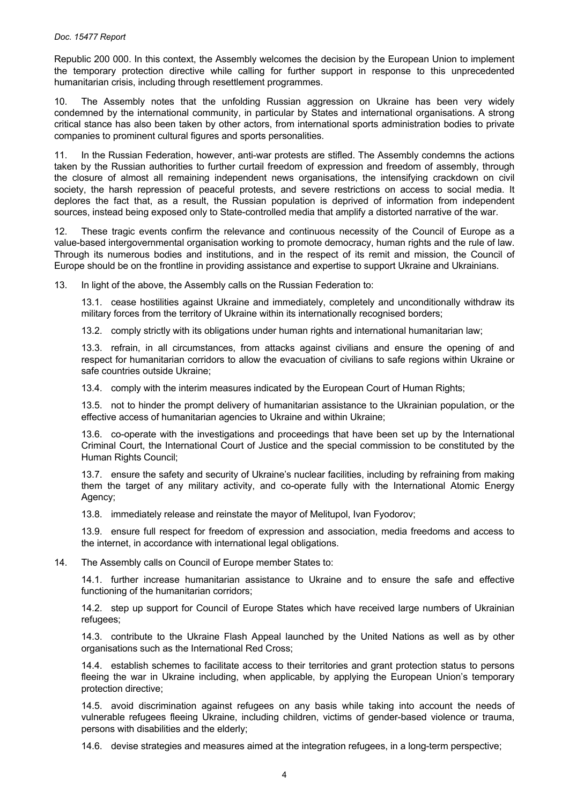Republic 200 000. In this context, the Assembly welcomes the decision by the European Union to implement the temporary protection directive while calling for further support in response to this unprecedented humanitarian crisis, including through resettlement programmes.

10. The Assembly notes that the unfolding Russian aggression on Ukraine has been very widely condemned by the international community, in particular by States and international organisations. A strong critical stance has also been taken by other actors, from international sports administration bodies to private companies to prominent cultural figures and sports personalities.

11. In the Russian Federation, however, anti-war protests are stifled. The Assembly condemns the actions taken by the Russian authorities to further curtail freedom of expression and freedom of assembly, through the closure of almost all remaining independent news organisations, the intensifying crackdown on civil society, the harsh repression of peaceful protests, and severe restrictions on access to social media. It deplores the fact that, as a result, the Russian population is deprived of information from independent sources, instead being exposed only to State-controlled media that amplify a distorted narrative of the war.

12. These tragic events confirm the relevance and continuous necessity of the Council of Europe as a value-based intergovernmental organisation working to promote democracy, human rights and the rule of law. Through its numerous bodies and institutions, and in the respect of its remit and mission, the Council of Europe should be on the frontline in providing assistance and expertise to support Ukraine and Ukrainians.

13. In light of the above, the Assembly calls on the Russian Federation to:

13.1. cease hostilities against Ukraine and immediately, completely and unconditionally withdraw its military forces from the territory of Ukraine within its internationally recognised borders;

13.2. comply strictly with its obligations under human rights and international humanitarian law;

13.3. refrain, in all circumstances, from attacks against civilians and ensure the opening of and respect for humanitarian corridors to allow the evacuation of civilians to safe regions within Ukraine or safe countries outside Ukraine;

13.4. comply with the interim measures indicated by the European Court of Human Rights;

13.5. not to hinder the prompt delivery of humanitarian assistance to the Ukrainian population, or the effective access of humanitarian agencies to Ukraine and within Ukraine;

13.6. co-operate with the investigations and proceedings that have been set up by the International Criminal Court, the International Court of Justice and the special commission to be constituted by the Human Rights Council;

13.7. ensure the safety and security of Ukraine's nuclear facilities, including by refraining from making them the target of any military activity, and co-operate fully with the International Atomic Energy Agency;

13.8. immediately release and reinstate the mayor of Melitupol, Ivan Fyodorov;

13.9. ensure full respect for freedom of expression and association, media freedoms and access to the internet, in accordance with international legal obligations.

14. The Assembly calls on Council of Europe member States to:

14.1. further increase humanitarian assistance to Ukraine and to ensure the safe and effective functioning of the humanitarian corridors;

14.2. step up support for Council of Europe States which have received large numbers of Ukrainian refugees;

14.3. contribute to the Ukraine Flash Appeal launched by the United Nations as well as by other organisations such as the International Red Cross;

14.4. establish schemes to facilitate access to their territories and grant protection status to persons fleeing the war in Ukraine including, when applicable, by applying the European Union's temporary protection directive;

14.5. avoid discrimination against refugees on any basis while taking into account the needs of vulnerable refugees fleeing Ukraine, including children, victims of gender-based violence or trauma, persons with disabilities and the elderly;

14.6. devise strategies and measures aimed at the integration refugees, in a long-term perspective;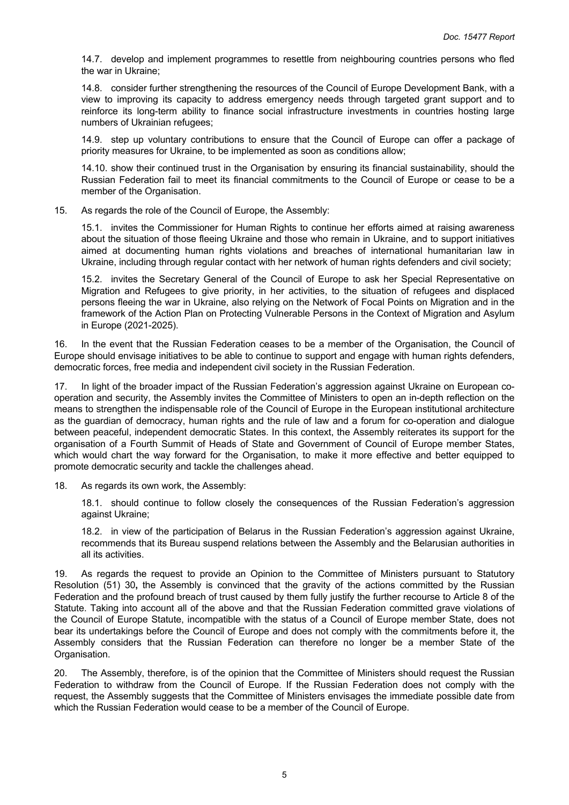14.7. develop and implement programmes to resettle from neighbouring countries persons who fled the war in Ukraine;

14.8. consider further strengthening the resources of the Council of Europe Development Bank, with a view to improving its capacity to address emergency needs through targeted grant support and to reinforce its long-term ability to finance social infrastructure investments in countries hosting large numbers of Ukrainian refugees;

14.9. step up voluntary contributions to ensure that the Council of Europe can offer a package of priority measures for Ukraine, to be implemented as soon as conditions allow;

14.10. show their continued trust in the Organisation by ensuring its financial sustainability, should the Russian Federation fail to meet its financial commitments to the Council of Europe or cease to be a member of the Organisation.

15. As regards the role of the Council of Europe, the Assembly:

15.1. invites the Commissioner for Human Rights to continue her efforts aimed at raising awareness about the situation of those fleeing Ukraine and those who remain in Ukraine, and to support initiatives aimed at documenting human rights violations and breaches of international humanitarian law in Ukraine, including through regular contact with her network of human rights defenders and civil society;

15.2. invites the Secretary General of the Council of Europe to ask her Special Representative on Migration and Refugees to give priority, in her activities, to the situation of refugees and displaced persons fleeing the war in Ukraine, also relying on the Network of Focal Points on Migration and in the framework of the Action Plan on Protecting Vulnerable Persons in the Context of Migration and Asylum in Europe (2021-2025).

16. In the event that the Russian Federation ceases to be a member of the Organisation, the Council of Europe should envisage initiatives to be able to continue to support and engage with human rights defenders, democratic forces, free media and independent civil society in the Russian Federation.

17. In light of the broader impact of the Russian Federation's aggression against Ukraine on European cooperation and security, the Assembly invites the Committee of Ministers to open an in-depth reflection on the means to strengthen the indispensable role of the Council of Europe in the European institutional architecture as the guardian of democracy, human rights and the rule of law and a forum for co-operation and dialogue between peaceful, independent democratic States. In this context, the Assembly reiterates its support for the organisation of a Fourth Summit of Heads of State and Government of Council of Europe member States, which would chart the way forward for the Organisation, to make it more effective and better equipped to promote democratic security and tackle the challenges ahead.

18. As regards its own work, the Assembly:

18.1. should continue to follow closely the consequences of the Russian Federation's aggression against Ukraine;

18.2. in view of the participation of Belarus in the Russian Federation's aggression against Ukraine, recommends that its Bureau suspend relations between the Assembly and the Belarusian authorities in all its activities.

19. As regards the request to provide an Opinion to the Committee of Ministers pursuant to Statutory Resolution (51) 30**,** the Assembly is convinced that the gravity of the actions committed by the Russian Federation and the profound breach of trust caused by them fully justify the further recourse to Article 8 of the Statute. Taking into account all of the above and that the Russian Federation committed grave violations of the Council of Europe Statute, incompatible with the status of a Council of Europe member State, does not bear its undertakings before the Council of Europe and does not comply with the commitments before it, the Assembly considers that the Russian Federation can therefore no longer be a member State of the Organisation.

20. The Assembly, therefore, is of the opinion that the Committee of Ministers should request the Russian Federation to withdraw from the Council of Europe. If the Russian Federation does not comply with the request, the Assembly suggests that the Committee of Ministers envisages the immediate possible date from which the Russian Federation would cease to be a member of the Council of Europe.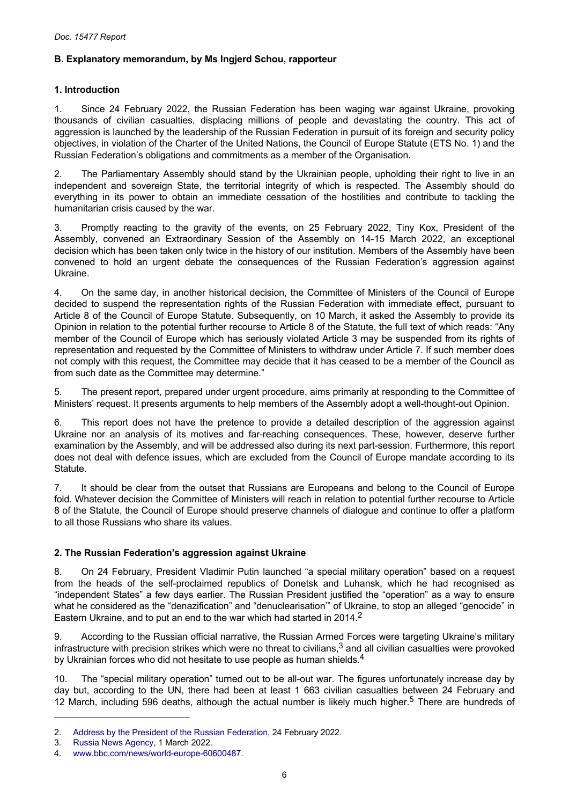# <span id="page-5-0"></span>**B. Explanatory memorandum, by Ms Ingjerd Schou, rapporteur**

# **1. Introduction**

1. Since 24 February 2022, the Russian Federation has been waging war against Ukraine, provoking thousands of civilian casualties, displacing millions of people and devastating the country. This act of aggression is launched by the leadership of the Russian Federation in pursuit of its foreign and security policy objectives, in violation of the Charter of the United Nations, the Council of Europe Statute (ETS No. 1) and the Russian Federation's obligations and commitments as a member of the Organisation.

2. The Parliamentary Assembly should stand by the Ukrainian people, upholding their right to live in an independent and sovereign State, the territorial integrity of which is respected. The Assembly should do everything in its power to obtain an immediate cessation of the hostilities and contribute to tackling the humanitarian crisis caused by the war.

3. Promptly reacting to the gravity of the events, on 25 February 2022, Tiny Kox, President of the Assembly, convened an Extraordinary Session of the Assembly on 14-15 March 2022, an exceptional decision which has been taken only twice in the history of our institution. Members of the Assembly have been convened to hold an urgent debate the consequences of the Russian Federation's aggression against Ukraine.

4. On the same day, in another historical decision, the Committee of Ministers of the Council of Europe decided to suspend the representation rights of the Russian Federation with immediate effect, pursuant to Article 8 of the Council of Europe Statute. Subsequently, on 10 March, it asked the Assembly to provide its Opinion in relation to the potential further recourse to Article 8 of the Statute, the full text of which reads: "Any member of the Council of Europe which has seriously violated Article 3 may be suspended from its rights of representation and requested by the Committee of Ministers to withdraw under Article 7. If such member does not comply with this request, the Committee may decide that it has ceased to be a member of the Council as from such date as the Committee may determine."

5. The present report, prepared under urgent procedure, aims primarily at responding to the Committee of Ministers' request. It presents arguments to help members of the Assembly adopt a well-thought-out Opinion.

6. This report does not have the pretence to provide a detailed description of the aggression against Ukraine nor an analysis of its motives and far-reaching consequences. These, however, deserve further examination by the Assembly, and will be addressed also during its next part-session. Furthermore, this report does not deal with defence issues, which are excluded from the Council of Europe mandate according to its Statute.

7. It should be clear from the outset that Russians are Europeans and belong to the Council of Europe fold. Whatever decision the Committee of Ministers will reach in relation to potential further recourse to Article 8 of the Statute, the Council of Europe should preserve channels of dialogue and continue to offer a platform to all those Russians who share its values.

# **2. The Russian Federation's aggression against Ukraine**

8. On 24 February, President Vladimir Putin launched "a special military operation" based on a request from the heads of the self-proclaimed republics of Donetsk and Luhansk, which he had recognised as "independent States" a few days earlier. The Russian President justified the "operation" as a way to ensure what he considered as the "denazification" and "denuclearisation'" of Ukraine, to stop an alleged "genocide" in Eastern Ukraine, and to put an end to the war which had started in 2014.<sup>2</sup>

9. According to the Russian official narrative, the Russian Armed Forces were targeting Ukraine's military infrastructure with precision strikes which were no threat to civilians, $3$  and all civilian casualties were provoked by Ukrainian forces who did not hesitate to use people as human shields.<sup>4</sup>

10. The "special military operation" turned out to be all-out war. The figures unfortunately increase day by day but, according to the UN, there had been at least 1 663 civilian casualties between 24 February and 12 March, including 596 deaths, although the actual number is likely much higher.<sup>5</sup> There are hundreds of

<sup>2.</sup> [Address by the President of the Russian Federation](http://en.kremlin.ru/events/president/news/67843), 24 February 2022.

<sup>3.</sup> [Russia News Agency,](https://tass.com/defense/1414199?utm_source=google.com&utm_medium=organic&utm_campaign=google.com&utm_referrer=google.com) 1 March 2022.

<sup>4.</sup> [www.bbc.com/news/world-europe-60600487.](https://www.bbc.com/news/world-europe-60600487)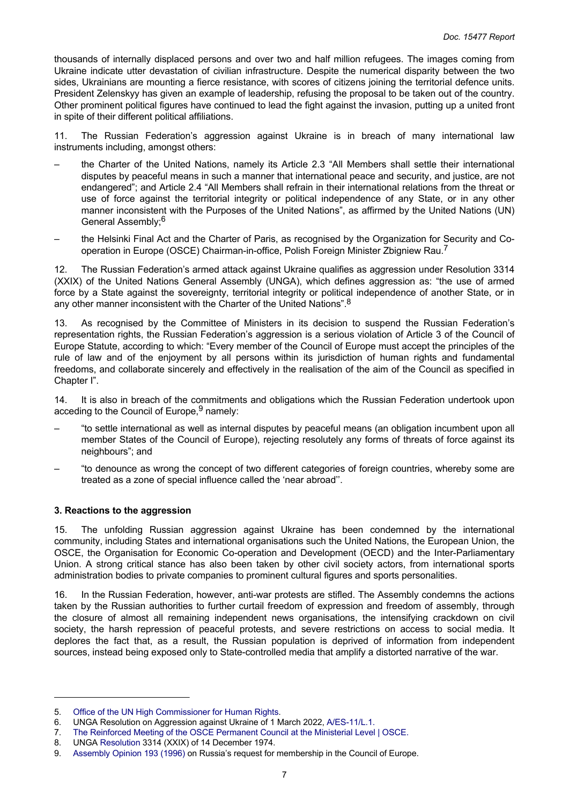<span id="page-6-0"></span>thousands of internally displaced persons and over two and half million refugees. The images coming from Ukraine indicate utter devastation of civilian infrastructure. Despite the numerical disparity between the two sides, Ukrainians are mounting a fierce resistance, with scores of citizens joining the territorial defence units. President Zelenskyy has given an example of leadership, refusing the proposal to be taken out of the country. Other prominent political figures have continued to lead the fight against the invasion, putting up a united front in spite of their different political affiliations.

11. The Russian Federation's aggression against Ukraine is in breach of many international law instruments including, amongst others:

- the Charter of the United Nations, namely its Article 2.3 "All Members shall settle their international disputes by peaceful means in such a manner that international peace and security, and justice, are not endangered"; and Article 2.4 "All Members shall refrain in their international relations from the threat or use of force against the territorial integrity or political independence of any State, or in any other manner inconsistent with the Purposes of the United Nations", as affirmed by the United Nations (UN) General Assembly;<sup>6</sup>
- the Helsinki Final Act and the Charter of Paris, as recognised by the Organization for Security and Cooperation in Europe (OSCE) Chairman-in-office, Polish Foreign Minister Zbigniew Rau.<sup>7</sup>

12. The Russian Federation's armed attack against Ukraine qualifies as aggression under Resolution 3314 (XXIX) of the United Nations General Assembly (UNGA), which defines aggression as: "the use of armed force by a State against the sovereignty, territorial integrity or political independence of another State, or in any other manner inconsistent with the Charter of the United Nations".<sup>8</sup>

13. As recognised by the Committee of Ministers in its decision to suspend the Russian Federation's representation rights, the Russian Federation's aggression is a serious violation of Article 3 of the Council of Europe Statute, according to which: "Every member of the Council of Europe must accept the principles of the rule of law and of the enjoyment by all persons within its jurisdiction of human rights and fundamental freedoms, and collaborate sincerely and effectively in the realisation of the aim of the Council as specified in Chapter I".

14. It is also in breach of the commitments and obligations which the Russian Federation undertook upon acceding to the Council of Europe. $9$  namely:

- "to settle international as well as internal disputes by peaceful means (an obligation incumbent upon all member States of the Council of Europe), rejecting resolutely any forms of threats of force against its neighbours"; and
- "to denounce as wrong the concept of two different categories of foreign countries, whereby some are treated as a zone of special influence called the 'near abroad''.

## **3. Reactions to the aggression**

15. The unfolding Russian aggression against Ukraine has been condemned by the international community, including States and international organisations such the United Nations, the European Union, the OSCE, the Organisation for Economic Co-operation and Development (OECD) and the Inter-Parliamentary Union. A strong critical stance has also been taken by other civil society actors, from international sports administration bodies to private companies to prominent cultural figures and sports personalities.

16. In the Russian Federation, however, anti-war protests are stifled. The Assembly condemns the actions taken by the Russian authorities to further curtail freedom of expression and freedom of assembly, through the closure of almost all remaining independent news organisations, the intensifying crackdown on civil society, the harsh repression of peaceful protests, and severe restrictions on access to social media. It deplores the fact that, as a result, the Russian population is deprived of information from independent sources, instead being exposed only to State-controlled media that amplify a distorted narrative of the war.

<sup>5.</sup> [Office of the UN High Commissioner for Human Rights.](https://www.ohchr.org/EN/NewsEvents/Pages/DisplayNews.aspx?NewsID=28273&LangID=E)

<sup>6.</sup> UNGA Resolution on Aggression against Ukraine of 1 March 2022, [A/ES-11/L.1.](https://reliefweb.int/sites/reliefweb.int/files/resources/A_ES-11_L.1_E.pdf)

<sup>7.</sup> [The Reinforced Meeting of the OSCE Permanent Council at the Ministerial Level | OSCE.](https://www.osce.org/chairmanship/512974)

<sup>8.</sup> UNGA [Resolution](https://www.un.org/ga/search/view_doc.asp?symbol=A/RES/3314(XXIX)) 3314 (XXIX) of 14 December 1974.

<sup>9.</sup> [Assembly Opinion 193 \(1996\)](https://pace.coe.int/en/files/13932) on Russia's request for membership in the Council of Europe.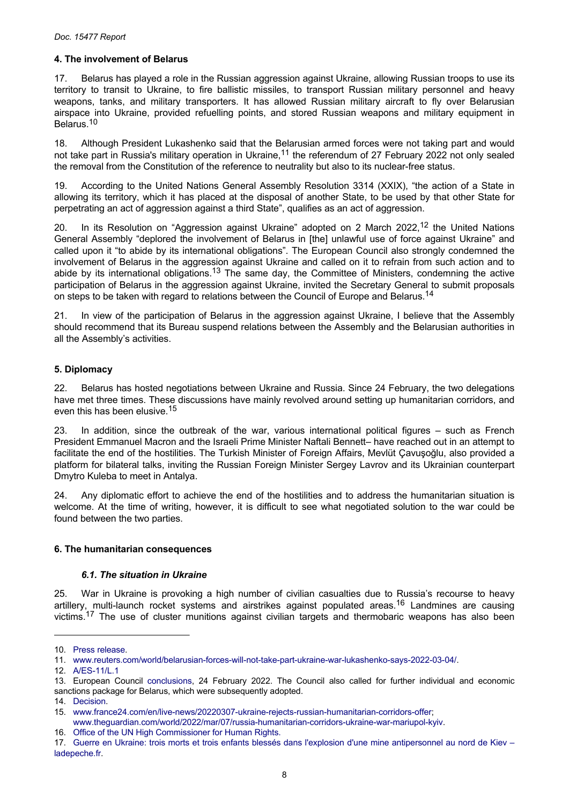# <span id="page-7-0"></span>**4. The involvement of Belarus**

17. Belarus has played a role in the Russian aggression against Ukraine, allowing Russian troops to use its territory to transit to Ukraine, to fire ballistic missiles, to transport Russian military personnel and heavy weapons, tanks, and military transporters. It has allowed Russian military aircraft to fly over Belarusian airspace into Ukraine, provided refuelling points, and stored Russian weapons and military equipment in Belarus.<sup>10</sup>

18. Although President Lukashenko said that the Belarusian armed forces were not taking part and would not take part in Russia's military operation in Ukraine,<sup>11</sup> the referendum of 27 February 2022 not only sealed the removal from the Constitution of the reference to neutrality but also to its nuclear-free status.

19. According to the United Nations General Assembly Resolution 3314 (XXIX), "the action of a State in allowing its territory, which it has placed at the disposal of another State, to be used by that other State for perpetrating an act of aggression against a third State", qualifies as an act of aggression.

20. In its Resolution on "Aggression against Ukraine" adopted on 2 March 2022,<sup>12</sup> the United Nations General Assembly "deplored the involvement of Belarus in [the] unlawful use of force against Ukraine" and called upon it "to abide by its international obligations". The European Council also strongly condemned the involvement of Belarus in the aggression against Ukraine and called on it to refrain from such action and to abide by its international obligations.<sup>13</sup> The same day, the Committee of Ministers, condemning the active participation of Belarus in the aggression against Ukraine, invited the Secretary General to submit proposals on steps to be taken with regard to relations between the Council of Europe and Belarus.<sup>14</sup>

21. In view of the participation of Belarus in the aggression against Ukraine, I believe that the Assembly should recommend that its Bureau suspend relations between the Assembly and the Belarusian authorities in all the Assembly's activities.

# **5. Diplomacy**

22. Belarus has hosted negotiations between Ukraine and Russia. Since 24 February, the two delegations have met three times. These discussions have mainly revolved around setting up humanitarian corridors, and even this has been elusive.<sup>15</sup>

23. In addition, since the outbreak of the war, various international political figures – such as French President Emmanuel Macron and the Israeli Prime Minister Naftali Bennett– have reached out in an attempt to facilitate the end of the hostilities. The Turkish Minister of Foreign Affairs, Mevlüt Çavuşoğlu, also provided a platform for bilateral talks, inviting the Russian Foreign Minister Sergey Lavrov and its Ukrainian counterpart Dmytro Kuleba to meet in Antalya.

24. Any diplomatic effort to achieve the end of the hostilities and to address the humanitarian situation is welcome. At the time of writing, however, it is difficult to see what negotiated solution to the war could be found between the two parties.

## **6. The humanitarian consequences**

## *6.1. The situation in Ukraine*

25. War in Ukraine is provoking a high number of civilian casualties due to Russia's recourse to heavy artillery, multi-launch rocket systems and airstrikes against populated areas.<sup>16</sup> Landmines are causing victims.<sup>17</sup> The use of cluster munitions against civilian targets and thermobaric weapons has also been

<sup>10.</sup> [Press release.](https://www.consilium.europa.eu/en/press/press-releases/2022/03/02/belarus-role-in-the-russian-military-aggression-of-ukraine-council-imposes-sanctions-on-additional-22-individuals-and-further-restrictions-on-trade/)

<sup>11.</sup> [www.reuters.com/world/belarusian-forces-will-not-take-part-ukraine-war-lukashenko-says-2022-03-04/.](https://www.reuters.com/world/belarusian-forces-will-not-take-part-ukraine-war-lukashenko-says-2022-03-04/)

<sup>12.</sup> [A/ES-11/L.1](https://reliefweb.int/sites/reliefweb.int/files/resources/A_ES-11_L.1_E.pdf)

<sup>13.</sup> European Council [conclusions,](https://www.consilium.europa.eu/en/press/press-releases/2022/02/24/european-council-conclusions-24-february-2022/) 24 February 2022. The Council also called for further individual and economic sanctions package for Belarus, which were subsequently adopted.

<sup>14.</sup> [Decision.](https://search.coe.int/cm/Pages/result_details.aspx?ObjectId=0900001680a5b15d)

<sup>15.</sup> [www.france24.com/en/live-news/20220307-ukraine-rejects-russian-humanitarian-corridors-offer;](https://www.france24.com/en/live-news/20220307-ukraine-rejects-russian-humanitarian-corridors-offer)

[www.theguardian.com/world/2022/mar/07/russia-humanitarian-corridors-ukraine-war-mariupol-kyiv.](https://www.theguardian.com/world/2022/mar/07/russia-humanitarian-corridors-ukraine-war-mariupol-kyiv)

<sup>16.</sup> [Office of the UN High Commissioner for Human Rights.](https://www.ohchr.org/EN/NewsEvents/Pages/DisplayNews.aspx?NewsID=28273&LangID=E)

<sup>17.</sup> Guerre en Ukraine: trois morts et trois enfants blessés dans l'explosion d'une mine [antipersonnel](https://www.ladepeche.fr/2022/03/08/guerre-en-ukraine-trois-morts-et-trois-enfants-blesses-dans-lexplosion-dune-mine-antipersonnel-au-nord-de-kiev-10156533.php) au nord de Kiev – [ladepeche.fr.](https://www.ladepeche.fr/2022/03/08/guerre-en-ukraine-trois-morts-et-trois-enfants-blesses-dans-lexplosion-dune-mine-antipersonnel-au-nord-de-kiev-10156533.php)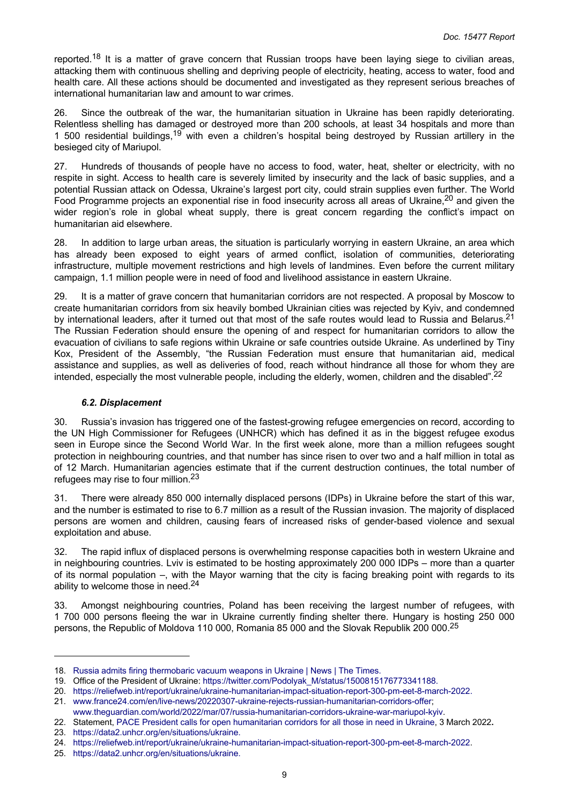reported.<sup>18</sup> It is a matter of grave concern that Russian troops have been laying siege to civilian areas, attacking them with continuous shelling and depriving people of electricity, heating, access to water, food and health care. All these actions should be documented and investigated as they represent serious breaches of international humanitarian law and amount to war crimes.

26. Since the outbreak of the war, the humanitarian situation in Ukraine has been rapidly deteriorating. Relentless shelling has damaged or destroyed more than 200 schools, at least 34 hospitals and more than 1 500 residential buildings,<sup>19</sup> with even a children's hospital being destroyed by Russian artillery in the besieged city of Mariupol.

27. Hundreds of thousands of people have no access to food, water, heat, shelter or electricity, with no respite in sight. Access to health care is severely limited by insecurity and the lack of basic supplies, and a potential Russian attack on Odessa, Ukraine's largest port city, could strain supplies even further. The World Food Programme projects an exponential rise in food insecurity across all areas of Ukraine,<sup>20</sup> and given the wider region's role in global wheat supply, there is great concern regarding the conflict's impact on humanitarian aid elsewhere.

28. In addition to large urban areas, the situation is particularly worrying in eastern Ukraine, an area which has already been exposed to eight years of armed conflict, isolation of communities, deteriorating infrastructure, multiple movement restrictions and high levels of landmines. Even before the current military campaign, 1.1 million people were in need of food and livelihood assistance in eastern Ukraine.

29. It is a matter of grave concern that humanitarian corridors are not respected. A proposal by Moscow to create humanitarian corridors from six heavily bombed Ukrainian cities was rejected by Kyiv, and condemned by international leaders, after it turned out that most of the safe routes would lead to Russia and Belarus.<sup>21</sup> The Russian Federation should ensure the opening of and respect for humanitarian corridors to allow the evacuation of civilians to safe regions within Ukraine or safe countries outside Ukraine. As underlined by Tiny Kox, President of the Assembly, "the Russian Federation must ensure that humanitarian aid, medical assistance and supplies, as well as deliveries of food, reach without hindrance all those for whom they are intended, especially the most vulnerable people, including the elderly, women, children and the disabled".<sup>22</sup>

#### *6.2. Displacement*

30. Russia's invasion has triggered one of the fastest-growing refugee emergencies on record, according to the UN High Commissioner for Refugees (UNHCR) which has defined it as in the biggest refugee exodus seen in Europe since the Second World War. In the first week alone, more than a million refugees sought protection in neighbouring countries, and that number has since risen to over two and a half million in total as of 12 March. Humanitarian agencies estimate that if the current destruction continues, the total number of refugees may rise to four million.<sup>23</sup>

31. There were already 850 000 internally displaced persons (IDPs) in Ukraine before the start of this war, and the number is estimated to rise to 6.7 million as a result of the Russian invasion. The majority of displaced persons are women and children, causing fears of increased risks of gender-based violence and sexual exploitation and abuse.

32. The rapid influx of displaced persons is overwhelming response capacities both in western Ukraine and in neighbouring countries. Lviv is estimated to be hosting approximately 200 000 IDPs – more than a quarter of its normal population –, with the Mayor warning that the city is facing breaking point with regards to its ability to welcome those in need.<sup>24</sup>

33. Amongst neighbouring countries, Poland has been receiving the largest number of refugees, with 1 700 000 persons fleeing the war in Ukraine currently finding shelter there. Hungary is hosting 250 000 persons, the Republic of Moldova 110 000, Romania 85 000 and the Slovak Republik 200 000.<sup>25</sup>

<sup>18.</sup> [Russia admits firing thermobaric vacuum weapons in Ukraine | News | The Times.](https://www.thetimes.co.uk/article/russia-admits-firing-thermobaric-vacuum-weapons-in-ukraine-g6sl78zcb)

<sup>19.</sup> Office of the President of Ukraine: [https://twitter.com/Podolyak\\_M/status/1500815176773341188.](https://twitter.com/Podolyak_M/status/1500815176773341188)

<sup>20.</sup> [https://reliefweb.int/report/ukraine/ukraine-humanitarian-impact-situation-report-300-pm-eet-8-march-2022.](https://reliefweb.int/report/ukraine/ukraine-humanitarian-impact-situation-report-300-pm-eet-8-march-2022)

<sup>21.</sup> [www.france24.com/en/live-news/20220307-ukraine-rejects-russian-humanitarian-corridors-offer;](https://www.france24.com/en/live-news/20220307-ukraine-rejects-russian-humanitarian-corridors-offer)

[www.theguardian.com/world/2022/mar/07/russia-humanitarian-corridors-ukraine-war-mariupol-kyiv.](https://www.theguardian.com/world/2022/mar/07/russia-humanitarian-corridors-ukraine-war-mariupol-kyiv)

<sup>22.</sup> Statement, [PACE President calls for open humanitarian corridors for all those in need in Ukraine,](https://pace.coe.int/en/news/8614/pace-president-calls-for-open-humanitarian-corridors-for-all-those-in-need-in-ukraine) 3 March 2022**.**

<sup>23.</sup> [https://data2.unhcr.org/en/situations/ukraine.](https://data2.unhcr.org/en/situations/ukraine)

<sup>24.</sup> [https://reliefweb.int/report/ukraine/ukraine-humanitarian-impact-situation-report-300-pm-eet-8-march-2022.](https://reliefweb.int/report/ukraine/ukraine-humanitarian-impact-situation-report-300-pm-eet-8-march-2022)

<sup>25.</sup> [https://data2.unhcr.org/en/situations/ukraine.](https://data2.unhcr.org/en/situations/ukraine)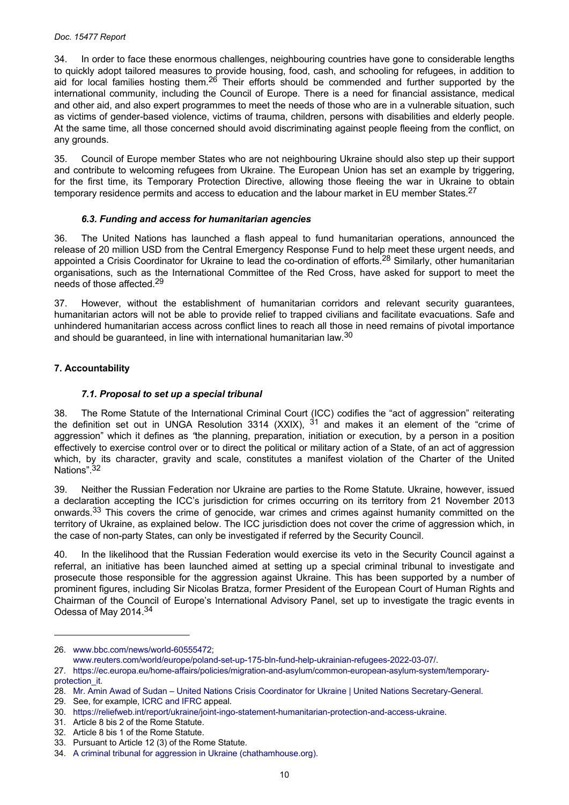#### <span id="page-9-0"></span>*Doc. 15477 Report*

34. In order to face these enormous challenges, neighbouring countries have gone to considerable lengths to quickly adopt tailored measures to provide housing, food, cash, and schooling for refugees, in addition to aid for local families hosting them.<sup>26</sup> Their efforts should be commended and further supported by the international community, including the Council of Europe. There is a need for financial assistance, medical and other aid, and also expert programmes to meet the needs of those who are in a vulnerable situation, such as victims of gender-based violence, victims of trauma, children, persons with disabilities and elderly people. At the same time, all those concerned should avoid discriminating against people fleeing from the conflict, on any grounds.

35. Council of Europe member States who are not neighbouring Ukraine should also step up their support and contribute to welcoming refugees from Ukraine. The European Union has set an example by triggering, for the first time, its Temporary Protection Directive, allowing those fleeing the war in Ukraine to obtain temporary residence permits and access to education and the labour market in EU member States.<sup>27</sup>

## *6.3. Funding and access for humanitarian agencies*

36. The United Nations has launched a flash appeal to fund humanitarian operations, announced the release of 20 million USD from the Central Emergency Response Fund to help meet these urgent needs, and appointed a Crisis Coordinator for Ukraine to lead the co-ordination of efforts.<sup>28</sup> Similarly, other humanitarian organisations, such as the International Committee of the Red Cross, have asked for support to meet the needs of those affected.<sup>29</sup>

37. However, without the establishment of humanitarian corridors and relevant security guarantees, humanitarian actors will not be able to provide relief to trapped civilians and facilitate evacuations. Safe and unhindered humanitarian access across conflict lines to reach all those in need remains of pivotal importance and should be guaranteed, in line with international humanitarian law.<sup>30</sup>

# **7. Accountability**

# *7.1. Proposal to set up a special tribunal*

38. The Rome Statute of the International Criminal Court (ICC) codifies the "act of aggression" reiterating the definition set out in UNGA Resolution 3314 (XXIX),  $31$  and makes it an element of the "crime of aggression" which it defines as *"*the planning, preparation, initiation or execution, by a person in a position effectively to exercise control over or to direct the political or military action of a State, of an act of aggression which, by its character, gravity and scale, constitutes a manifest violation of the Charter of the United Nations".<sup>32</sup>

39. Neither the Russian Federation nor Ukraine are parties to the Rome Statute. Ukraine, however, issued a declaration accepting the ICC's jurisdiction for crimes occurring on its territory from 21 November 2013 onwards.<sup>33</sup> This covers the crime of genocide, war crimes and crimes against humanity committed on the territory of Ukraine, as explained below. The ICC jurisdiction does not cover the crime of aggression which, in the case of non-party States, can only be investigated if referred by the Security Council.

40. In the likelihood that the Russian Federation would exercise its veto in the Security Council against a referral, an initiative has been launched aimed at setting up a special criminal tribunal to investigate and prosecute those responsible for the aggression against Ukraine. This has been supported by a number of prominent figures, including Sir Nicolas Bratza, former President of the European Court of Human Rights and Chairman of the Council of Europe's International Advisory Panel, set up to investigate the tragic events in Odessa of May 2014.<sup>34</sup>

29. See, for example, [ICRC and IFRC](https://www.icrc.org/en/document/international-red-cross-crescent-movement-appeals-250-million-swiss-francs-assist) appeal.

<sup>26.</sup> [www.bbc.com/news/world-60555472;](https://www.bbc.com/news/world-60555472)

[www.reuters.com/world/europe/poland-set-up-175-bln-fund-help-ukrainian-refugees-2022-03-07/](https://www.reuters.com/world/europe/poland-set-up-175-bln-fund-help-ukrainian-refugees-2022-03-07/).

<sup>27.</sup> [https://ec.europa.eu/home-affairs/policies/migration-and-asylum/common-european-asylum-system/temporary](https://ec.europa.eu/home-affairs/policies/migration-and-asylum/common-european-asylum-system/temporary-protection_it)[protection\\_it](https://ec.europa.eu/home-affairs/policies/migration-and-asylum/common-european-asylum-system/temporary-protection_it).

<sup>28.</sup> [Mr. Amin Awad of Sudan – United Nations Crisis Coordinator for Ukraine | United Nations Secretary-General](https://www.un.org/sg/en/node/262085).

<sup>30.</sup> <https://reliefweb.int/report/ukraine/joint-ingo-statement-humanitarian-protection-and-access-ukraine>.

<sup>31.</sup> Article 8 bis 2 of the Rome Statute.

<sup>32.</sup> Article 8 bis 1 of the Rome Statute.

<sup>33.</sup> Pursuant to Article 12 (3) of the Rome Statute.

<sup>34.</sup> [A criminal tribunal for aggression in Ukraine \(chathamhouse.org\)](https://www.chathamhouse.org/events/all/research-event/criminal-tribunal-aggression-ukraine).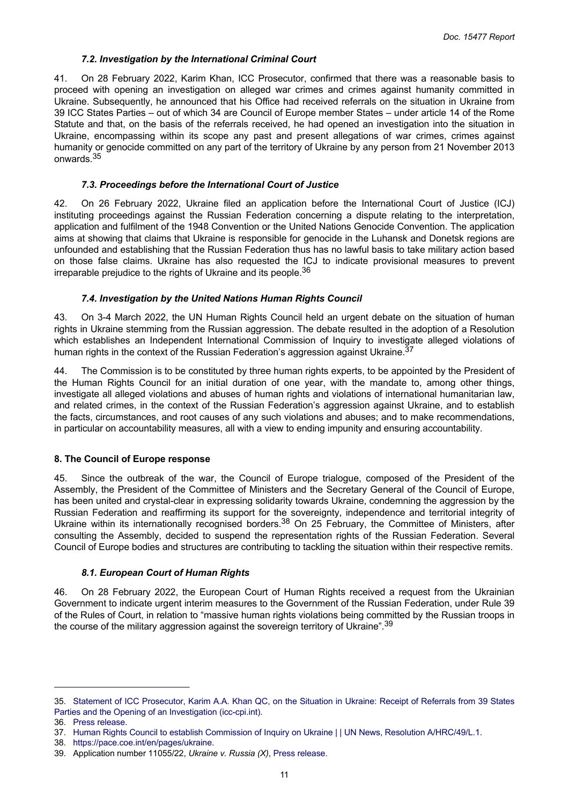# *7.2. Investigation by the International Criminal Court*

<span id="page-10-0"></span>41. On 28 February 2022, Karim Khan, ICC Prosecutor, confirmed that there was a reasonable basis to proceed with opening an investigation on alleged war crimes and crimes against humanity committed in Ukraine. Subsequently, he announced that his Office had received referrals on the situation in Ukraine from 39 ICC States Parties – out of which 34 are Council of Europe member States – under article 14 of the Rome Statute and that, on the basis of the referrals received, he had opened an investigation into the situation in Ukraine, encompassing within its scope any past and present allegations of war crimes, crimes against humanity or genocide committed on any part of the territory of Ukraine by any person from 21 November 2013 onwards.<sup>35</sup>

# *7.3. Proceedings before the International Court of Justice*

42. On 26 February 2022, Ukraine filed an application before the International Court of Justice (ICJ) instituting proceedings against the Russian Federation concerning a dispute relating to the interpretation, application and fulfilment of the 1948 Convention or the United Nations Genocide Convention. The application aims at showing that claims that Ukraine is responsible for genocide in the Luhansk and Donetsk regions are unfounded and establishing that the Russian Federation thus has no lawful basis to take military action based on those false claims. Ukraine has also requested the ICJ to indicate provisional measures to prevent irreparable prejudice to the rights of Ukraine and its people.<sup>36</sup>

# *7.4. Investigation by the United Nations Human Rights Council*

43. On 3-4 March 2022, the UN Human Rights Council held an urgent debate on the situation of human rights in Ukraine stemming from the Russian aggression. The debate resulted in the adoption of a Resolution which establishes an Independent International Commission of Inquiry to investigate alleged violations of human rights in the context of the Russian Federation's aggression against Ukraine.<sup>37</sup>

44. The Commission is to be constituted by three human rights experts, to be appointed by the President of the Human Rights Council for an initial duration of one year, with the mandate to, among other things, investigate all alleged violations and abuses of human rights and violations of international humanitarian law, and related crimes, in the context of the Russian Federation's aggression against Ukraine, and to establish the facts, circumstances, and root causes of any such violations and abuses; and to make recommendations, in particular on accountability measures, all with a view to ending impunity and ensuring accountability.

# **8. The Council of Europe response**

45. Since the outbreak of the war, the Council of Europe trialogue, composed of the President of the Assembly, the President of the Committee of Ministers and the Secretary General of the Council of Europe, has been united and crystal-clear in expressing solidarity towards Ukraine, condemning the aggression by the Russian Federation and reaffirming its support for the sovereignty, independence and territorial integrity of Ukraine within its internationally recognised borders.<sup>38</sup> On 25 February, the Committee of Ministers, after consulting the Assembly, decided to suspend the representation rights of the Russian Federation. Several Council of Europe bodies and structures are contributing to tackling the situation within their respective remits.

## *8.1. European Court of Human Rights*

46. On 28 February 2022, the European Court of Human Rights received a request from the Ukrainian Government to indicate urgent interim measures to the Government of the Russian Federation, under Rule 39 of the Rules of Court, in relation to "massive human rights violations being committed by the Russian troops in the course of the military aggression against the sovereign territory of Ukraine".<sup>39</sup>

<sup>35.</sup> Statement of ICC [Prosecutor,](https://www.icc-cpi.int/Pages/item.aspx?name=2022-prosecutor-statement-referrals-ukraine) Karim A.A. Khan QC, on the Situation in Ukraine: Receipt of Referrals from 39 States [Parties and the Opening of an Investigation \(icc-cpi.int\)](https://www.icc-cpi.int/Pages/item.aspx?name=2022-prosecutor-statement-referrals-ukraine).

<sup>36.</sup> [Press release.](https://www.icj-cij.org/public/files/case-related/182/182-20220227-PRE-01-00-EN.pdf)

<sup>37.</sup> [Human Rights Council to establish Commission of Inquiry on Ukraine | | UN News, Resolution A/HRC/49/L.1.](https://news.un.org/en/story/2022/03/1113292)

<sup>38.</sup> [https://pace.coe.int/en/pages/ukraine.](https://pace.coe.int/en/pages/ukraine)

<sup>39.</sup> Application number 11055/22, *Ukraine v. Russia (X)*, [Press release.](https://hudoc.echr.coe.int/app/conversion/pdf/?library=ECHR&id=003-7272764-9905947&filename=The%20Court%20grants%20urgent%20interim%20measures%20in%20application%20concerning%20Russian%20military%20operations%20on%20Ukrainian%20territory.pdf)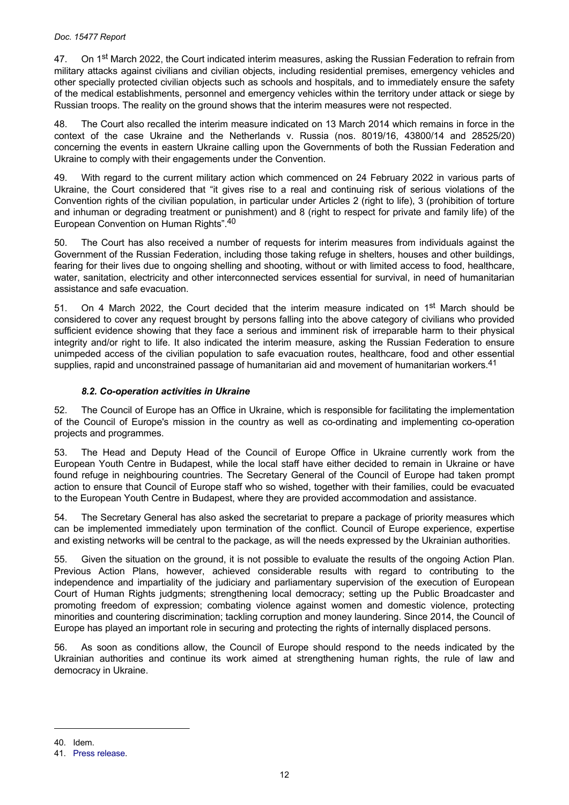47. On 1<sup>st</sup> March 2022, the Court indicated interim measures, asking the Russian Federation to refrain from military attacks against civilians and civilian objects, including residential premises, emergency vehicles and other specially protected civilian objects such as schools and hospitals, and to immediately ensure the safety of the medical establishments, personnel and emergency vehicles within the territory under attack or siege by Russian troops. The reality on the ground shows that the interim measures were not respected.

48. The Court also recalled the interim measure indicated on 13 March 2014 which remains in force in the context of the case Ukraine and the Netherlands v. Russia (nos. 8019/16, 43800/14 and 28525/20) concerning the events in eastern Ukraine calling upon the Governments of both the Russian Federation and Ukraine to comply with their engagements under the Convention.

49. With regard to the current military action which commenced on 24 February 2022 in various parts of Ukraine, the Court considered that "it gives rise to a real and continuing risk of serious violations of the Convention rights of the civilian population, in particular under Articles 2 (right to life), 3 (prohibition of torture and inhuman or degrading treatment or punishment) and 8 (right to respect for private and family life) of the European Convention on Human Rights".<sup>40</sup>

50. The Court has also received a number of requests for interim measures from individuals against the Government of the Russian Federation, including those taking refuge in shelters, houses and other buildings, fearing for their lives due to ongoing shelling and shooting, without or with limited access to food, healthcare, water, sanitation, electricity and other interconnected services essential for survival, in need of humanitarian assistance and safe evacuation.

51. On 4 March 2022, the Court decided that the interim measure indicated on 1<sup>st</sup> March should be considered to cover any request brought by persons falling into the above category of civilians who provided sufficient evidence showing that they face a serious and imminent risk of irreparable harm to their physical integrity and/or right to life. It also indicated the interim measure, asking the Russian Federation to ensure unimpeded access of the civilian population to safe evacuation routes, healthcare, food and other essential supplies, rapid and unconstrained passage of humanitarian aid and movement of humanitarian workers.<sup>41</sup>

## *8.2. Co-operation activities in Ukraine*

52. The Council of Europe has an Office in Ukraine, which is responsible for facilitating the implementation of the Council of Europe's mission in the country as well as co-ordinating and implementing co-operation projects and programmes.

53. The Head and Deputy Head of the Council of Europe Office in Ukraine currently work from the European Youth Centre in Budapest, while the local staff have either decided to remain in Ukraine or have found refuge in neighbouring countries. The Secretary General of the Council of Europe had taken prompt action to ensure that Council of Europe staff who so wished, together with their families, could be evacuated to the European Youth Centre in Budapest, where they are provided accommodation and assistance.

54. The Secretary General has also asked the secretariat to prepare a package of priority measures which can be implemented immediately upon termination of the conflict. Council of Europe experience, expertise and existing networks will be central to the package, as will the needs expressed by the Ukrainian authorities.

55. Given the situation on the ground, it is not possible to evaluate the results of the ongoing Action Plan. Previous Action Plans, however, achieved considerable results with regard to contributing to the independence and impartiality of the judiciary and parliamentary supervision of the execution of European Court of Human Rights judgments; strengthening local democracy; setting up the Public Broadcaster and promoting freedom of expression; combating violence against women and domestic violence, protecting minorities and countering discrimination; tackling corruption and money laundering. Since 2014, the Council of Europe has played an important role in securing and protecting the rights of internally displaced persons.

56. As soon as conditions allow, the Council of Europe should respond to the needs indicated by the Ukrainian authorities and continue its work aimed at strengthening human rights, the rule of law and democracy in Ukraine.

<sup>40.</sup> Idem.

<sup>41.</sup> [Press release.](https://hudoc.echr.coe.int/eng-press)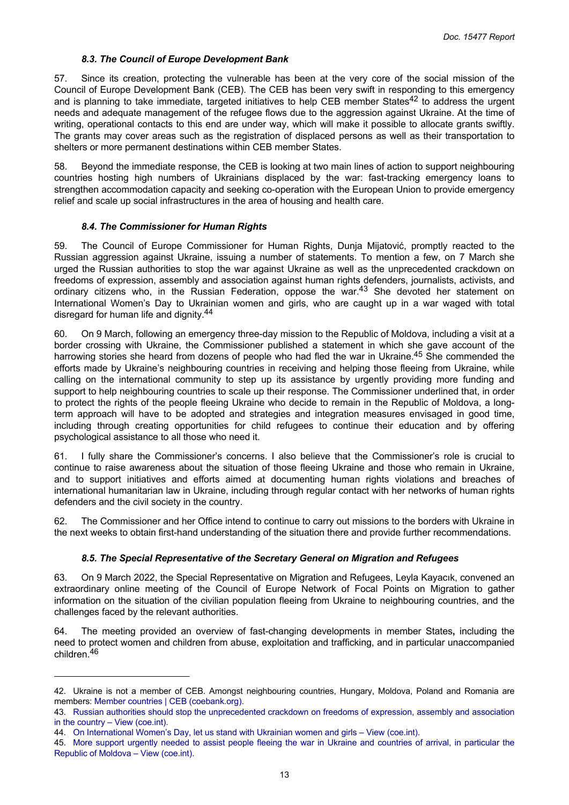#### *8.3. The Council of Europe Development Bank*

57. Since its creation, protecting the vulnerable has been at the very core of the social mission of the Council of Europe Development Bank (CEB). The CEB has been very swift in responding to this emergency and is planning to take immediate, targeted initiatives to help CEB member States<sup>42</sup> to address the urgent needs and adequate management of the refugee flows due to the aggression against Ukraine. At the time of writing, operational contacts to this end are under way, which will make it possible to allocate grants swiftly. The grants may cover areas such as the registration of displaced persons as well as their transportation to shelters or more permanent destinations within CEB member States.

58. Beyond the immediate response, the CEB is looking at two main lines of action to support neighbouring countries hosting high numbers of Ukrainians displaced by the war: fast-tracking emergency loans to strengthen accommodation capacity and seeking co-operation with the European Union to provide emergency relief and scale up social infrastructures in the area of housing and health care.

#### *8.4. The Commissioner for Human Rights*

59. The Council of Europe Commissioner for Human Rights, Dunja Mijatović, promptly reacted to the Russian aggression against Ukraine, issuing a number of statements. To mention a few, on 7 March she urged the Russian authorities to stop the war against Ukraine as well as the unprecedented crackdown on freedoms of expression, assembly and association against human rights defenders, journalists, activists, and ordinary citizens who, in the Russian Federation, oppose the war.<sup>43</sup> She devoted her statement on International Women's Day to Ukrainian women and girls, who are caught up in a war waged with total disregard for human life and dignity.<sup>44</sup>

60. On 9 March, following an emergency three-day mission to the Republic of Moldova, including a visit at a border crossing with Ukraine, the Commissioner published a statement in which she gave account of the harrowing stories she heard from dozens of people who had fled the war in Ukraine.<sup>45</sup> She commended the efforts made by Ukraine's neighbouring countries in receiving and helping those fleeing from Ukraine, while calling on the international community to step up its assistance by urgently providing more funding and support to help neighbouring countries to scale up their response. The Commissioner underlined that, in order to protect the rights of the people fleeing Ukraine who decide to remain in the Republic of Moldova, a longterm approach will have to be adopted and strategies and integration measures envisaged in good time, including through creating opportunities for child refugees to continue their education and by offering psychological assistance to all those who need it.

61. I fully share the Commissioner's concerns. I also believe that the Commissioner's role is crucial to continue to raise awareness about the situation of those fleeing Ukraine and those who remain in Ukraine, and to support initiatives and efforts aimed at documenting human rights violations and breaches of international humanitarian law in Ukraine, including through regular contact with her networks of human rights defenders and the civil society in the country.

62. The Commissioner and her Office intend to continue to carry out missions to the borders with Ukraine in the next weeks to obtain first-hand understanding of the situation there and provide further recommendations.

## *8.5. The Special Representative of the Secretary General on Migration and Refugees*

63. On 9 March 2022, the Special Representative on Migration and Refugees, Leyla Kayacık, convened an extraordinary online meeting of the Council of Europe Network of Focal Points on Migration to gather information on the situation of the civilian population fleeing from Ukraine to neighbouring countries, and the challenges faced by the relevant authorities.

64. The meeting provided an overview of fast-changing developments in member States**,** including the need to protect women and children from abuse, exploitation and trafficking, and in particular unaccompanied children.<sup>46</sup>

<sup>42.</sup> Ukraine is not a member of CEB. Amongst neighbouring countries, Hungary, Moldova, Poland and Romania are members: [Member countries | CEB \(coebank.org\).](https://coebank.org/en/about/member-countries/)

<sup>43.</sup> [Russian authorities should stop the unprecedented crackdown on freedoms of expression, assembly and association](https://www.coe.int/en/web/commissioner/-/russian-authorities-should-stop-the-unprecedented-crackdown-on-freedoms-of-expression-assembly-and-association-in-the-country)  [in the country – View \(coe.int\).](https://www.coe.int/en/web/commissioner/-/russian-authorities-should-stop-the-unprecedented-crackdown-on-freedoms-of-expression-assembly-and-association-in-the-country)

<sup>44.</sup> [On International Women's Day, let us stand with Ukrainian women and girls – View \(coe.int\).](https://www.coe.int/en/web/commissioner/-/on-international-women-s-day-let-us-stand-with-ukrainian-women-and-girls)

<sup>45.</sup> More support urgently needed to assist people fleeing the war in Ukraine and countries of arrival, in [particular](https://www.coe.int/en/web/commissioner/-/more-support-urgently-needed-to-assist-people-fleeing-the-war-in-ukraine-and-countries-of-arrival-in-particular-the-republic-of-moldova) the [Republic of Moldova – View \(coe.int\).](https://www.coe.int/en/web/commissioner/-/more-support-urgently-needed-to-assist-people-fleeing-the-war-in-ukraine-and-countries-of-arrival-in-particular-the-republic-of-moldova)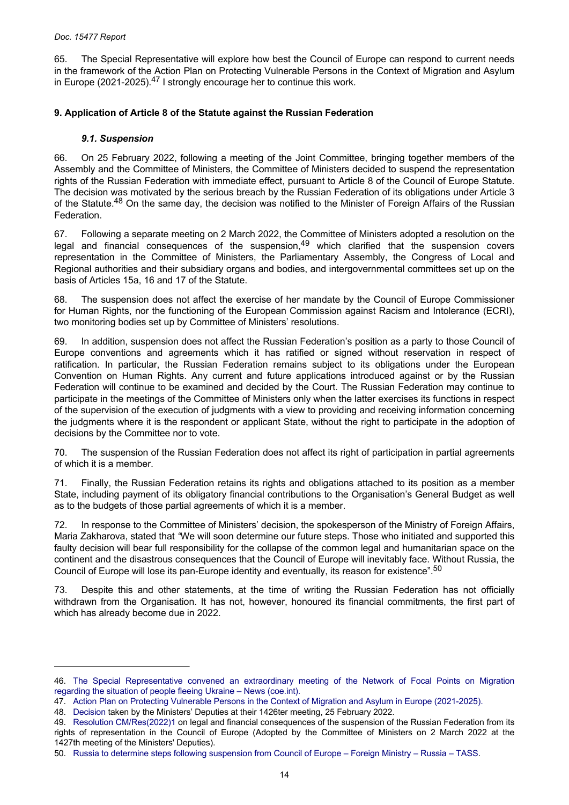<span id="page-13-0"></span>65. The Special Representative will explore how best the Council of Europe can respond to current needs in the framework of the Action Plan on Protecting Vulnerable Persons in the Context of Migration and Asylum in Europe (2021-2025).<sup>47</sup> I strongly encourage her to continue this work.

# **9. Application of Article 8 of the Statute against the Russian Federation**

# *9.1. Suspension*

66. On 25 February 2022, following a meeting of the Joint Committee, bringing together members of the Assembly and the Committee of Ministers, the Committee of Ministers decided to suspend the representation rights of the Russian Federation with immediate effect, pursuant to Article 8 of the Council of Europe Statute. The decision was motivated by the serious breach by the Russian Federation of its obligations under Article 3 of the Statute.<sup>48</sup> On the same day, the decision was notified to the Minister of Foreign Affairs of the Russian Federation.

67. Following a separate meeting on 2 March 2022, the Committee of Ministers adopted a resolution on the legal and financial consequences of the suspension, $49$  which clarified that the suspension covers representation in the Committee of Ministers, the Parliamentary Assembly, the Congress of Local and Regional authorities and their subsidiary organs and bodies, and intergovernmental committees set up on the basis of Articles 15a, 16 and 17 of the Statute.

68. The suspension does not affect the exercise of her mandate by the Council of Europe Commissioner for Human Rights, nor the functioning of the European Commission against Racism and Intolerance (ECRI), two monitoring bodies set up by Committee of Ministers' resolutions.

69. In addition, suspension does not affect the Russian Federation's position as a party to those Council of Europe conventions and agreements which it has ratified or signed without reservation in respect of ratification. In particular, the Russian Federation remains subject to its obligations under the European Convention on Human Rights. Any current and future applications introduced against or by the Russian Federation will continue to be examined and decided by the Court. The Russian Federation may continue to participate in the meetings of the Committee of Ministers only when the latter exercises its functions in respect of the supervision of the execution of judgments with a view to providing and receiving information concerning the judgments where it is the respondent or applicant State, without the right to participate in the adoption of decisions by the Committee nor to vote.

70. The suspension of the Russian Federation does not affect its right of participation in partial agreements of which it is a member.

71. Finally, the Russian Federation retains its rights and obligations attached to its position as a member State, including payment of its obligatory financial contributions to the Organisation's General Budget as well as to the budgets of those partial agreements of which it is a member.

72. In response to the Committee of Ministers' decision, the spokesperson of the Ministry of Foreign Affairs, Maria Zakharova, stated that *"*We will soon determine our future steps. Those who initiated and supported this faulty decision will bear full responsibility for the collapse of the common legal and humanitarian space on the continent and the disastrous consequences that the Council of Europe will inevitably face. Without Russia, the Council of Europe will lose its pan-Europe identity and eventually, its reason for existence".<sup>50</sup>

73. Despite this and other statements, at the time of writing the Russian Federation has not officially withdrawn from the Organisation. It has not, however, honoured its financial commitments, the first part of which has already become due in 2022.

<sup>46.</sup> The Special [Representative](https://www.coe.int/en/web/special-representative-secretary-general-migration-refugees/-/the-special-representative-convened-an-extraordinary-meeting-of-the-network-of-focal-points-on-migration-regarding-the-situation-of-people-fleeing-ukr) convened an extraordinary meeting of the Network of Focal Points on Migration [regarding the situation of people fleeing Ukraine – News \(coe.int\).](https://www.coe.int/en/web/special-representative-secretary-general-migration-refugees/-/the-special-representative-convened-an-extraordinary-meeting-of-the-network-of-focal-points-on-migration-regarding-the-situation-of-people-fleeing-ukr)

<sup>47.</sup> [Action Plan on Protecting Vulnerable Persons in the Context of Migration and Asylum in Europe \(2021-2025\).](https://rm.coe.int/action-plan-on-protecting-vulnerable-persons-in-the-context-of-migrati/1680a409fc)

<sup>48.</sup> [Decision](https://search.coe.int/cm/Pages/result_details.aspx?ObjectID=0900001680a5a360) taken by the Ministers' Deputies at their 1426ter meeting, 25 February 2022.

<sup>49.</sup> [Resolution CM/Res\(2022\)1](https://search.coe.int/cm/Pages/result_details.aspx?ObjectId=0900001680a5b15f) on legal and financial consequences of the suspension of the Russian Federation from its rights of representation in the Council of Europe (Adopted by the Committee of Ministers on 2 March 2022 at the 1427th meeting of the Ministers' Deputies).

<sup>50.</sup> [Russia to determine steps following suspension from Council of Europe – Foreign Ministry – Russia – TASS.](https://tass.com/russia/1411999?utm_source=bing.com&utm_medium=organic&utm_campaign=bing.com&utm_referrer=bing.com)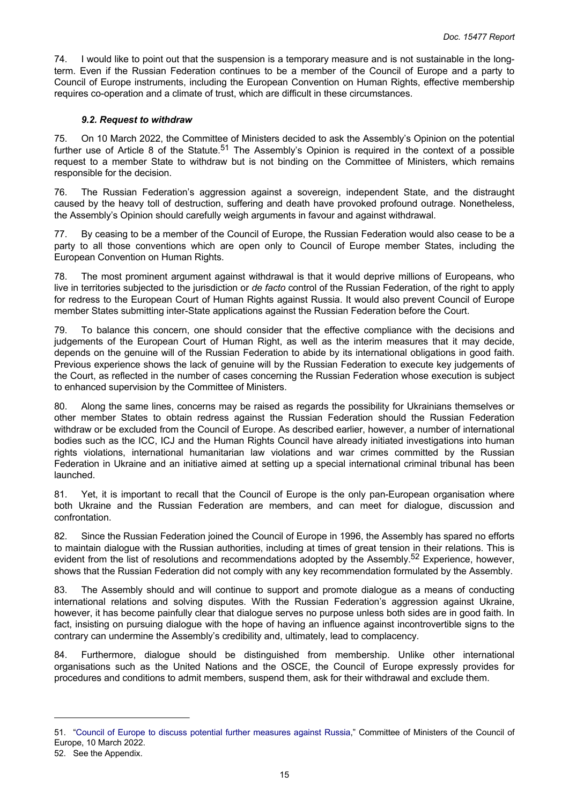74. I would like to point out that the suspension is a temporary measure and is not sustainable in the longterm. Even if the Russian Federation continues to be a member of the Council of Europe and a party to Council of Europe instruments, including the European Convention on Human Rights, effective membership requires co-operation and a climate of trust, which are difficult in these circumstances.

#### *9.2. Request to withdraw*

75. On 10 March 2022, the Committee of Ministers decided to ask the Assembly's Opinion on the potential further use of Article 8 of the Statute.<sup>51</sup> The Assembly's Opinion is required in the context of a possible request to a member State to withdraw but is not binding on the Committee of Ministers, which remains responsible for the decision.

76. The Russian Federation's aggression against a sovereign, independent State, and the distraught caused by the heavy toll of destruction, suffering and death have provoked profound outrage. Nonetheless, the Assembly's Opinion should carefully weigh arguments in favour and against withdrawal.

77. By ceasing to be a member of the Council of Europe, the Russian Federation would also cease to be a party to all those conventions which are open only to Council of Europe member States, including the European Convention on Human Rights.

78. The most prominent argument against withdrawal is that it would deprive millions of Europeans, who live in territories subjected to the jurisdiction or *de facto* control of the Russian Federation, of the right to apply for redress to the European Court of Human Rights against Russia. It would also prevent Council of Europe member States submitting inter-State applications against the Russian Federation before the Court.

79. To balance this concern, one should consider that the effective compliance with the decisions and judgements of the European Court of Human Right, as well as the interim measures that it may decide, depends on the genuine will of the Russian Federation to abide by its international obligations in good faith. Previous experience shows the lack of genuine will by the Russian Federation to execute key judgements of the Court, as reflected in the number of cases concerning the Russian Federation whose execution is subject to enhanced supervision by the Committee of Ministers.

80. Along the same lines, concerns may be raised as regards the possibility for Ukrainians themselves or other member States to obtain redress against the Russian Federation should the Russian Federation withdraw or be excluded from the Council of Europe. As described earlier, however, a number of international bodies such as the ICC, ICJ and the Human Rights Council have already initiated investigations into human rights violations, international humanitarian law violations and war crimes committed by the Russian Federation in Ukraine and an initiative aimed at setting up a special international criminal tribunal has been launched.

81. Yet, it is important to recall that the Council of Europe is the only pan-European organisation where both Ukraine and the Russian Federation are members, and can meet for dialogue, discussion and confrontation.

82. Since the Russian Federation joined the Council of Europe in 1996, the Assembly has spared no efforts to maintain dialogue with the Russian authorities, including at times of great tension in their relations. This is evident from the list of resolutions and recommendations adopted by the Assembly.<sup>52</sup> Experience, however, shows that the Russian Federation did not comply with any key recommendation formulated by the Assembly.

83. The Assembly should and will continue to support and promote dialogue as a means of conducting international relations and solving disputes. With the Russian Federation's aggression against Ukraine, however, it has become painfully clear that dialogue serves no purpose unless both sides are in good faith. In fact, insisting on pursuing dialogue with the hope of having an influence against incontrovertible signs to the contrary can undermine the Assembly's credibility and, ultimately, lead to complacency.

84. Furthermore, dialogue should be distinguished from membership. Unlike other international organisations such as the United Nations and the OSCE, the Council of Europe expressly provides for procedures and conditions to admit members, suspend them, ask for their withdrawal and exclude them.

<sup>51.</sup> "Council of Europe to discuss potential further [measures](https://www.coe.int/en/web/portal/-/council-of-europe-to-discuss-further-measures-against-russia) against Russia," Committee of Ministers of the Council of Europe, 10 March 2022.

<sup>52.</sup> See the Appendix.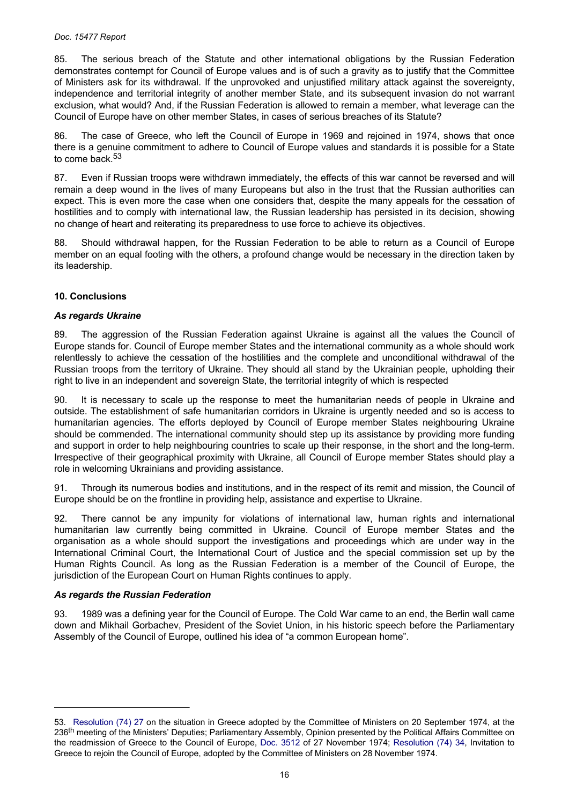#### <span id="page-15-0"></span>*Doc. 15477 Report*

85. The serious breach of the Statute and other international obligations by the Russian Federation demonstrates contempt for Council of Europe values and is of such a gravity as to justify that the Committee of Ministers ask for its withdrawal. If the unprovoked and unjustified military attack against the sovereignty, independence and territorial integrity of another member State, and its subsequent invasion do not warrant exclusion, what would? And, if the Russian Federation is allowed to remain a member, what leverage can the Council of Europe have on other member States, in cases of serious breaches of its Statute?

86. The case of Greece, who left the Council of Europe in 1969 and rejoined in 1974, shows that once there is a genuine commitment to adhere to Council of Europe values and standards it is possible for a State to come back.<sup>53</sup>

87. Even if Russian troops were withdrawn immediately, the effects of this war cannot be reversed and will remain a deep wound in the lives of many Europeans but also in the trust that the Russian authorities can expect. This is even more the case when one considers that, despite the many appeals for the cessation of hostilities and to comply with international law, the Russian leadership has persisted in its decision, showing no change of heart and reiterating its preparedness to use force to achieve its objectives.

88. Should withdrawal happen, for the Russian Federation to be able to return as a Council of Europe member on an equal footing with the others, a profound change would be necessary in the direction taken by its leadership.

# **10. Conclusions**

## *As regards Ukraine*

89. The aggression of the Russian Federation against Ukraine is against all the values the Council of Europe stands for. Council of Europe member States and the international community as a whole should work relentlessly to achieve the cessation of the hostilities and the complete and unconditional withdrawal of the Russian troops from the territory of Ukraine. They should all stand by the Ukrainian people, upholding their right to live in an independent and sovereign State, the territorial integrity of which is respected

90. It is necessary to scale up the response to meet the humanitarian needs of people in Ukraine and outside. The establishment of safe humanitarian corridors in Ukraine is urgently needed and so is access to humanitarian agencies. The efforts deployed by Council of Europe member States neighbouring Ukraine should be commended. The international community should step up its assistance by providing more funding and support in order to help neighbouring countries to scale up their response, in the short and the long-term. Irrespective of their geographical proximity with Ukraine, all Council of Europe member States should play a role in welcoming Ukrainians and providing assistance.

91. Through its numerous bodies and institutions, and in the respect of its remit and mission, the Council of Europe should be on the frontline in providing help, assistance and expertise to Ukraine.

92. There cannot be any impunity for violations of international law, human rights and international humanitarian law currently being committed in Ukraine. Council of Europe member States and the organisation as a whole should support the investigations and proceedings which are under way in the International Criminal Court, the International Court of Justice and the special commission set up by the Human Rights Council. As long as the Russian Federation is a member of the Council of Europe, the jurisdiction of the European Court on Human Rights continues to apply.

## *As regards the Russian Federation*

93. 1989 was a defining year for the Council of Europe. The Cold War came to an end, the Berlin wall came down and Mikhail Gorbachev, President of the Soviet Union, in his historic speech before the Parliamentary Assembly of the Council of Europe, outlined his idea of "a common European home".

<sup>53.</sup> [Resolution](https://rm.coe.int/native/09000016804d125d) (74) 27 on the situation in Greece adopted by the Committee of Ministers on 20 September 1974, at the 236<sup>th</sup> meeting of the Ministers' Deputies; Parliamentary Assembly, Opinion presented by the Political Affairs Committee on the readmission of Greece to the Council of Europe, Doc. [3512](https://pace.coe.int/en/files/3756) of 27 November 1974; [Resolution](https://rm.coe.int/native/0900001680535d1b) (74) 34, Invitation to Greece to rejoin the Council of Europe, adopted by the Committee of Ministers on 28 November 1974.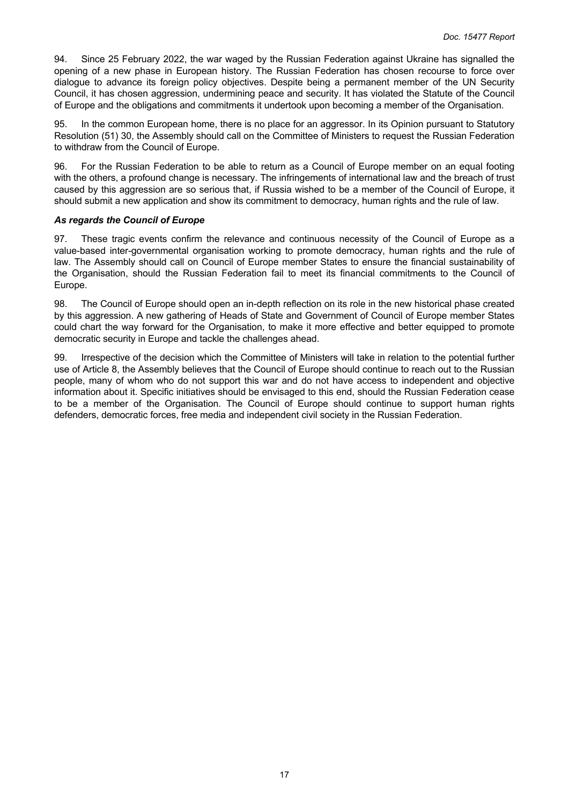94. Since 25 February 2022, the war waged by the Russian Federation against Ukraine has signalled the opening of a new phase in European history. The Russian Federation has chosen recourse to force over dialogue to advance its foreign policy objectives. Despite being a permanent member of the UN Security Council, it has chosen aggression, undermining peace and security. It has violated the Statute of the Council of Europe and the obligations and commitments it undertook upon becoming a member of the Organisation.

95. In the common European home, there is no place for an aggressor. In its Opinion pursuant to Statutory Resolution (51) 30, the Assembly should call on the Committee of Ministers to request the Russian Federation to withdraw from the Council of Europe.

96. For the Russian Federation to be able to return as a Council of Europe member on an equal footing with the others, a profound change is necessary. The infringements of international law and the breach of trust caused by this aggression are so serious that, if Russia wished to be a member of the Council of Europe, it should submit a new application and show its commitment to democracy, human rights and the rule of law.

#### *As regards the Council of Europe*

97. These tragic events confirm the relevance and continuous necessity of the Council of Europe as a value-based inter-governmental organisation working to promote democracy, human rights and the rule of law. The Assembly should call on Council of Europe member States to ensure the financial sustainability of the Organisation, should the Russian Federation fail to meet its financial commitments to the Council of Europe.

98. The Council of Europe should open an in-depth reflection on its role in the new historical phase created by this aggression. A new gathering of Heads of State and Government of Council of Europe member States could chart the way forward for the Organisation, to make it more effective and better equipped to promote democratic security in Europe and tackle the challenges ahead.

99. Irrespective of the decision which the Committee of Ministers will take in relation to the potential further use of Article 8, the Assembly believes that the Council of Europe should continue to reach out to the Russian people, many of whom who do not support this war and do not have access to independent and objective information about it. Specific initiatives should be envisaged to this end, should the Russian Federation cease to be a member of the Organisation. The Council of Europe should continue to support human rights defenders, democratic forces, free media and independent civil society in the Russian Federation.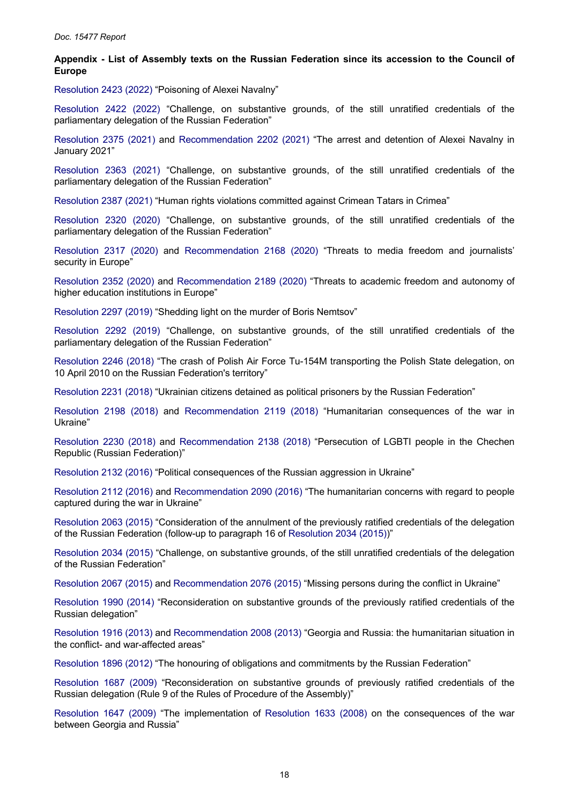#### <span id="page-17-0"></span>**Appendix - List of Assembly texts on the Russian Federation since its accession to the Council of Europe**

[Resolution 2423 \(2022\)](https://pace.coe.int/en/files/29795) "Poisoning of Alexei Navalny"

[Resolution](https://pace.coe.int/en/files/29794) 2422 (2022) "Challenge, on substantive grounds, of the still unratified credentials of the parliamentary delegation of the Russian Federation"

[Resolution](https://pace.coe.int/en/files/29186) 2375 (2021) and [Recommendation](https://pace.coe.int/en/files/29187) 2202 (2021) "The arrest and detention of Alexei Navalny in January 2021"

[Resolution](https://pace.coe.int/en/files/29022) 2363 (2021) "Challenge, on substantive grounds, of the still unratified credentials of the parliamentary delegation of the Russian Federation"

[Resolution 2387 \(2021\)](https://pace.coe.int/en/files/29360) "Human rights violations committed against Crimean Tatars in Crimea"

[Resolution](https://pace.coe.int/en/files/28570) 2320 (2020) "Challenge, on substantive grounds, of the still unratified credentials of the parliamentary delegation of the Russian Federation"

[Resolution](https://pace.coe.int/en/files/28508) 2317 (2020) and [Recommendation](https://pace.coe.int/en/files/28509) 2168 (2020) "Threats to media freedom and journalists' security in Europe"

[Resolution](https://pace.coe.int/en/files/28881) 2352 (2020) and [Recommendation](https://pace.coe.int/en/files/28883) 2189 (2020) "Threats to academic freedom and autonomy of higher education institutions in Europe"

[Resolution 2297 \(2019\)](https://pace.coe.int/en/files/28067) "Shedding light on the murder of Boris Nemtsov"

[Resolution](https://pace.coe.int/en/files/28049) 2292 (2019) "Challenge, on substantive grounds, of the still unratified credentials of the parliamentary delegation of the Russian Federation"

[Resolution](https://pace.coe.int/en/files/25191) 2246 (2018) "The crash of Polish Air Force Tu-154M transporting the Polish State delegation, on 10 April 2010 on the Russian Federation's territory"

[Resolution 2231 \(2018\)](https://pace.coe.int/en/files/24994) "Ukrainian citizens detained as political prisoners by the Russian Federation"

[Resolution](https://pace.coe.int/en/files/24432) 2198 (2018) and [Recommendation](https://pace.coe.int/en/files/24433) 2119 (2018) "Humanitarian consequences of the war in Ukraine"

[Resolution](https://pace.coe.int/en/files/24962) 2230 (2018) and [Recommendation](https://pace.coe.int/en/files/24963) 2138 (2018) "Persecution of LGBTI people in the Chechen Republic (Russian Federation)"

[Resolution 2132 \(2016\)](https://pace.coe.int/en/files/23166) "Political consequences of the Russian aggression in Ukraine"

[Resolution 2112 \(2016\)](https://pace.coe.int/en/files/22750) and [Recommendation 2090 \(2016\)](https://pace.coe.int/en/files/22752) "The humanitarian concerns with regard to people captured during the war in Ukraine"

[Resolution 2063 \(2015\)](https://pace.coe.int/en/files/21956) "Consideration of the annulment of the previously ratified credentials of the delegation of the Russian Federation (follow-up to paragraph 16 of [Resolution 2034 \(2015\)\)](https://pace.coe.int/en/files/21538)"

[Resolution 2034 \(2015\)](https://pace.coe.int/en/files/21538) "Challenge, on substantive grounds, of the still unratified credentials of the delegation of the Russian Federation"

[Resolution 2067 \(2015\)](https://pace.coe.int/en/files/21970) and [Recommendation 2076 \(2015\)](https://pace.coe.int/en/files/21971) "Missing persons during the conflict in Ukraine"

[Resolution](https://pace.coe.int/en/files/20882) 1990 (2014) "Reconsideration on substantive grounds of the previously ratified credentials of the Russian delegation"

[Resolution 1916 \(2013\)](https://pace.coe.int/en/files/19435) and [Recommendation 2008 \(2013\)](https://pace.coe.int/en/files/19445) "Georgia and Russia: the humanitarian situation in the conflict- and war-affected areas"

[Resolution 1896 \(2012\)](https://pace.coe.int/en/files/19116) "The honouring of obligations and commitments by the Russian Federation"

[Resolution](https://pace.coe.int/en/files/17779) 1687 (2009) "Reconsideration on substantive grounds of previously ratified credentials of the Russian delegation (Rule 9 of the Rules of Procedure of the Assembly)"

[Resolution](https://pace.coe.int/en/files/17708) 1647 (2009) "The implementation of [Resolution](https://pace.coe.int/en/files/17681) 1633 (2008) on the consequences of the war between Georgia and Russia"